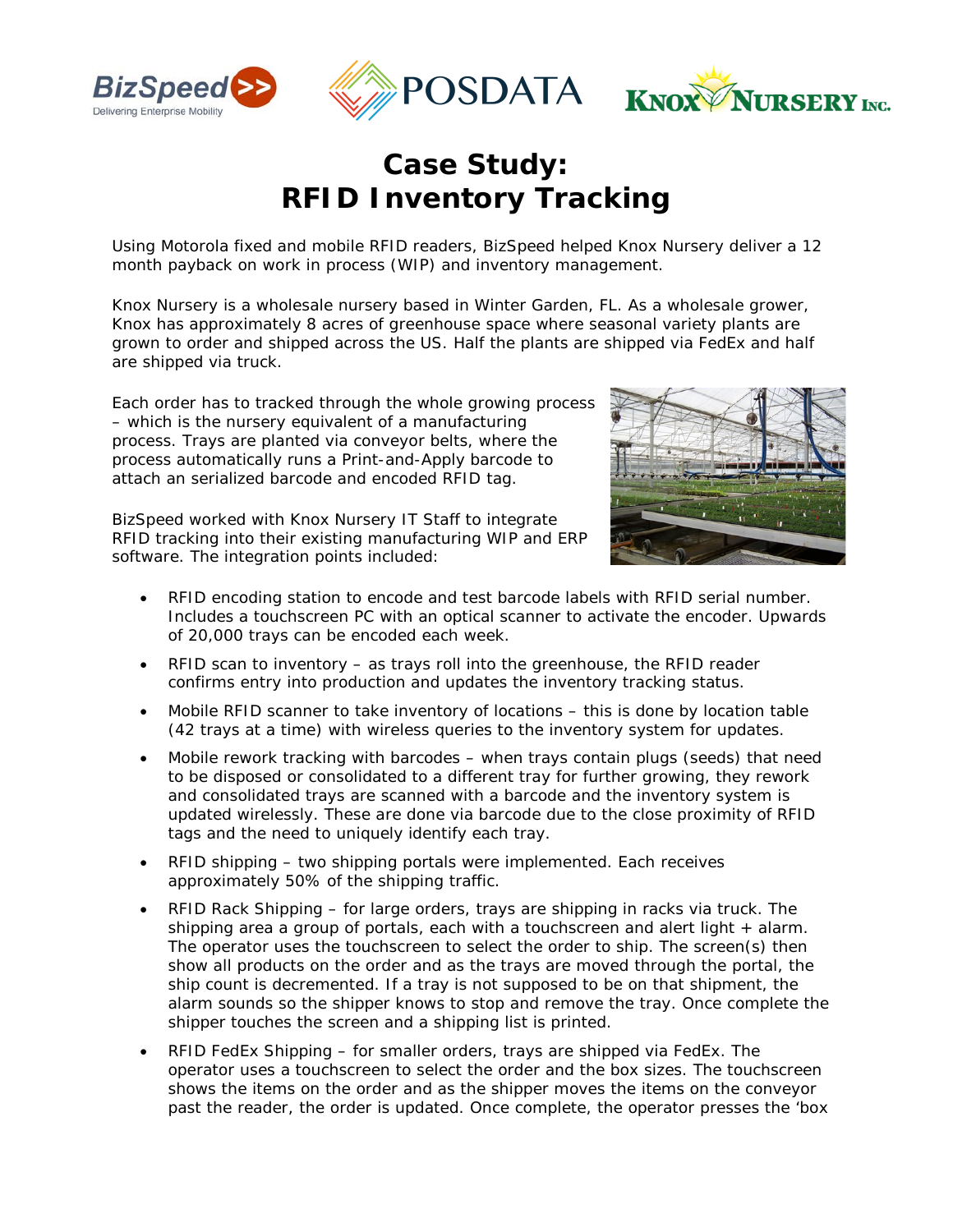

## *Case Study: RFID Inventory Tracking*

Using Motorola fixed and mobile RFID readers, BizSpeed helped Knox Nursery deliver a 12 month payback on work in process (WIP) and inventory management.

Knox Nursery is a wholesale nursery based in Winter Garden, FL. As a wholesale grower, Knox has approximately 8 acres of greenhouse space where seasonal variety plants are grown to order and shipped across the US. Half the plants are shipped via FedEx and half are shipped via truck.

Each order has to tracked through the whole growing process – which is the nursery equivalent of a manufacturing process. Trays are planted via conveyor belts, where the process automatically runs a Print-and-Apply barcode to attach an serialized barcode and encoded RFID tag.



BizSpeed worked with Knox Nursery IT Staff to integrate RFID tracking into their existing manufacturing WIP and ERP software. The integration points included:

- RFID encoding station to encode and test barcode labels with RFID serial number. Includes a touchscreen PC with an optical scanner to activate the encoder. Upwards of 20,000 trays can be encoded each week.
- RFID scan to inventory as trays roll into the greenhouse, the RFID reader confirms entry into production and updates the inventory tracking status.
- Mobile RFID scanner to take inventory of locations this is done by location table (42 trays at a time) with wireless queries to the inventory system for updates.
- Mobile rework tracking with barcodes when trays contain plugs (seeds) that need to be disposed or consolidated to a different tray for further growing, they rework and consolidated trays are scanned with a barcode and the inventory system is updated wirelessly. These are done via barcode due to the close proximity of RFID tags and the need to uniquely identify each tray.
- RFID shipping two shipping portals were implemented. Each receives approximately 50% of the shipping traffic.
- RFID Rack Shipping for large orders, trays are shipping in racks via truck. The shipping area a group of portals, each with a touchscreen and alert light + alarm. The operator uses the touchscreen to select the order to ship. The screen(s) then show all products on the order and as the trays are moved through the portal, the ship count is decremented. If a tray is not supposed to be on that shipment, the alarm sounds so the shipper knows to stop and remove the tray. Once complete the shipper touches the screen and a shipping list is printed.
- RFID FedEx Shipping for smaller orders, trays are shipped via FedEx. The operator uses a touchscreen to select the order and the box sizes. The touchscreen shows the items on the order and as the shipper moves the items on the conveyor past the reader, the order is updated. Once complete, the operator presses the 'box